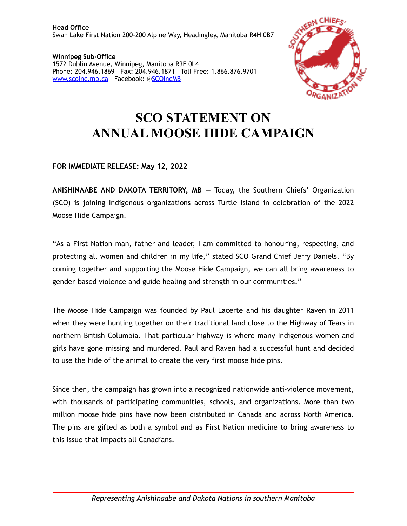**Winnipeg Sub-Office**  1572 Dublin Avenue, Winnipeg, Manitoba R3E 0L4 Phone: 204.946.1869 Fax: 204.946.1871 Toll Free: 1.866.876.9701 [www.scoinc.mb.ca](http://www.scoinc.mb.ca) Facebook: @[SCOIncMB](https://www.facebook.com/SCOIncMB/)



## **SCO STATEMENT ON ANNUAL MOOSE HIDE CAMPAIGN**

## **FOR IMMEDIATE RELEASE: May 12, 2022**

**ANISHINAABE AND DAKOTA TERRITORY, MB** — Today, the Southern Chiefs' Organization (SCO) is joining Indigenous organizations across Turtle Island in celebration of the 2022 Moose Hide Campaign.

"As a First Nation man, father and leader, I am committed to honouring, respecting, and protecting all women and children in my life," stated SCO Grand Chief Jerry Daniels. "By coming together and supporting the Moose Hide Campaign, we can all bring awareness to gender-based violence and guide healing and strength in our communities."

The Moose Hide Campaign was founded by Paul Lacerte and his daughter Raven in 2011 when they were hunting together on their traditional land close to the Highway of Tears in northern British Columbia. That particular highway is where many Indigenous women and girls have gone missing and murdered. Paul and Raven had a successful hunt and decided to use the hide of the animal to create the very first moose hide pins.

Since then, the campaign has grown into a recognized nationwide anti-violence movement, with thousands of participating communities, schools, and organizations. More than two million moose hide pins have now been distributed in Canada and across North America. The pins are gifted as both a symbol and as First Nation medicine to bring awareness to this issue that impacts all Canadians.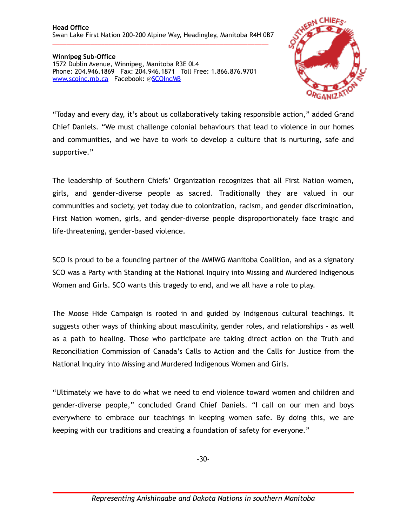\_\_\_\_\_\_\_\_\_\_\_\_\_\_\_\_\_\_\_\_\_\_\_\_\_\_\_\_\_\_\_\_\_\_\_\_\_\_\_\_\_\_\_\_\_\_\_\_\_\_\_\_\_\_\_\_\_\_\_\_\_\_

**Winnipeg Sub-Office**  1572 Dublin Avenue, Winnipeg, Manitoba R3E 0L4 Phone: 204.946.1869 Fax: 204.946.1871 Toll Free: 1.866.876.9701 [www.scoinc.mb.ca](http://www.scoinc.mb.ca) Facebook: @[SCOIncMB](https://www.facebook.com/SCOIncMB/)



"Today and every day, it's about us collaboratively taking responsible action," added Grand Chief Daniels. "We must challenge colonial behaviours that lead to violence in our homes and communities, and we have to work to develop a culture that is nurturing, safe and supportive."

The leadership of Southern Chiefs' Organization recognizes that all First Nation women, girls, and gender-diverse people as sacred. Traditionally they are valued in our communities and society, yet today due to colonization, racism, and gender discrimination, First Nation women, girls, and gender-diverse people disproportionately face tragic and life-threatening, gender-based violence.

SCO is proud to be a founding partner of the MMIWG Manitoba Coalition, and as a signatory SCO was a Party with Standing at the National Inquiry into Missing and Murdered Indigenous Women and Girls. SCO wants this tragedy to end, and we all have a role to play.

The Moose Hide Campaign is rooted in and guided by Indigenous cultural teachings. It suggests other ways of thinking about masculinity, gender roles, and relationships - as well as a path to healing. Those who participate are taking direct action on the Truth and Reconciliation Commission of Canada's Calls to Action and the Calls for Justice from the National Inquiry into Missing and Murdered Indigenous Women and Girls.

"Ultimately we have to do what we need to end violence toward women and children and gender-diverse people," concluded Grand Chief Daniels. "I call on our men and boys everywhere to embrace our teachings in keeping women safe. By doing this, we are keeping with our traditions and creating a foundation of safety for everyone."

-30-